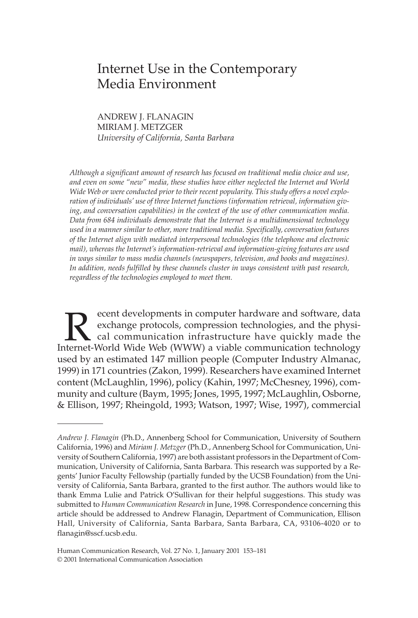# Internet Use in the Contemporary Media Environment

ANDREW J. FLANAGIN MIRIAM J. METZGER *University of California, Santa Barbara*

*Although a significant amount of research has focused on traditional media choice and use, and even on some "new" media, these studies have either neglected the Internet and World Wide Web or were conducted prior to their recent popularity. This study offers a novel exploration of individuals' use of three Internet functions (information retrieval, information giving, and conversation capabilities) in the context of the use of other communication media. Data from 684 individuals demonstrate that the Internet is a multidimensional technology used in a manner similar to other, more traditional media. Specifically, conversation features of the Internet align with mediated interpersonal technologies (the telephone and electronic mail), whereas the Internet's information-retrieval and information-giving features are used in ways similar to mass media channels (newspapers, television, and books and magazines). In addition, needs fulfilled by these channels cluster in ways consistent with past research, regardless of the technologies employed to meet them.*

ecent developments in computer hardware and software, data exchange protocols, compression technologies, and the physical communication infrastructure have quickly made the Internet-World Wide Web (WWW) a viable communication technology used by an estimated 147 million people (Computer Industry Almanac, 1999) in 171 countries (Zakon, 1999). Researchers have examined Internet content (McLaughlin, 1996), policy (Kahin, 1997; McChesney, 1996), community and culture (Baym, 1995; Jones, 1995, 1997; McLaughlin, Osborne, & Ellison, 1997; Rheingold, 1993; Watson, 1997; Wise, 1997), commercial R

*Andrew J. Flanagin* (Ph.D., Annenberg School for Communication, University of Southern California, 1996) and *Miriam J. Metzger* (Ph.D., Annenberg School for Communication, University of Southern California, 1997) are both assistant professors in the Department of Communication, University of California, Santa Barbara. This research was supported by a Regents' Junior Faculty Fellowship (partially funded by the UCSB Foundation) from the University of California, Santa Barbara, granted to the first author. The authors would like to thank Emma Lulie and Patrick O'Sullivan for their helpful suggestions. This study was submitted to *Human Communication Research* in June, 1998. Correspondence concerning this article should be addressed to Andrew Flanagin, Department of Communication, Ellison Hall, University of California, Santa Barbara, Santa Barbara, CA, 93106-4020 or to flanagin@sscf.ucsb.edu.

Human Communication Research, Vol. 27 No. 1, January 2001 153–181 © 2001 International Communication Association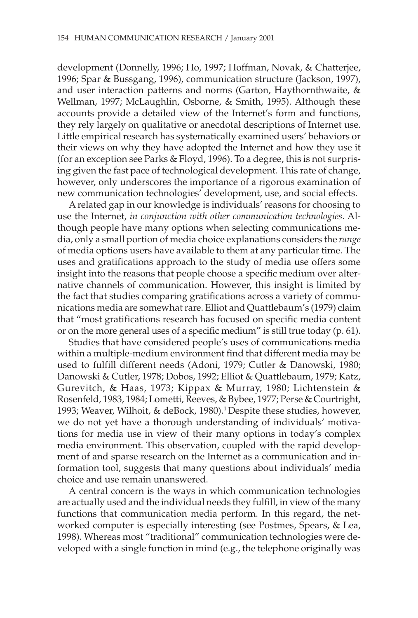development (Donnelly, 1996; Ho, 1997; Hoffman, Novak, & Chatterjee, 1996; Spar & Bussgang, 1996), communication structure (Jackson, 1997), and user interaction patterns and norms (Garton, Haythornthwaite, & Wellman, 1997; McLaughlin, Osborne, & Smith, 1995). Although these accounts provide a detailed view of the Internet's form and functions, they rely largely on qualitative or anecdotal descriptions of Internet use. Little empirical research has systematically examined users' behaviors or their views on why they have adopted the Internet and how they use it (for an exception see Parks & Floyd, 1996). To a degree, this is not surprising given the fast pace of technological development. This rate of change, however, only underscores the importance of a rigorous examination of new communication technologies' development, use, and social effects.

A related gap in our knowledge is individuals' reasons for choosing to use the Internet, *in conjunction with other communication technologies*. Although people have many options when selecting communications media, only a small portion of media choice explanations considers the *range* of media options users have available to them at any particular time. The uses and gratifications approach to the study of media use offers some insight into the reasons that people choose a specific medium over alternative channels of communication. However, this insight is limited by the fact that studies comparing gratifications across a variety of communications media are somewhat rare. Elliot and Quattlebaum's (1979) claim that "most gratifications research has focused on specific media content or on the more general uses of a specific medium" is still true today (p. 61).

Studies that have considered people's uses of communications media within a multiple-medium environment find that different media may be used to fulfill different needs (Adoni, 1979; Cutler & Danowski, 1980; Danowski & Cutler, 1978; Dobos, 1992; Elliot & Quattlebaum, 1979; Katz, Gurevitch, & Haas, 1973; Kippax & Murray, 1980; Lichtenstein & Rosenfeld, 1983, 1984; Lometti, Reeves, & Bybee, 1977; Perse & Courtright, 1993; Weaver, Wilhoit, & deBock, 1980).<sup>1</sup> Despite these studies, however, we do not yet have a thorough understanding of individuals' motivations for media use in view of their many options in today's complex media environment. This observation, coupled with the rapid development of and sparse research on the Internet as a communication and information tool, suggests that many questions about individuals' media choice and use remain unanswered.

A central concern is the ways in which communication technologies are actually used and the individual needs they fulfill, in view of the many functions that communication media perform. In this regard, the networked computer is especially interesting (see Postmes, Spears, & Lea, 1998). Whereas most "traditional" communication technologies were developed with a single function in mind (e.g., the telephone originally was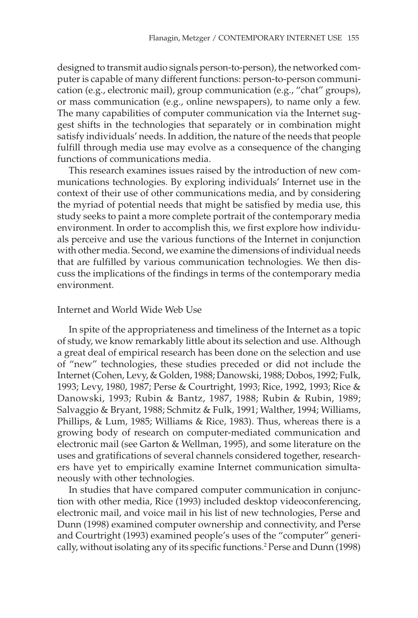designed to transmit audio signals person-to-person), the networked computer is capable of many different functions: person-to-person communication (e.g., electronic mail), group communication (e.g., "chat" groups), or mass communication (e.g., online newspapers), to name only a few. The many capabilities of computer communication via the Internet suggest shifts in the technologies that separately or in combination might satisfy individuals' needs. In addition, the nature of the needs that people fulfill through media use may evolve as a consequence of the changing functions of communications media.

This research examines issues raised by the introduction of new communications technologies. By exploring individuals' Internet use in the context of their use of other communications media, and by considering the myriad of potential needs that might be satisfied by media use, this study seeks to paint a more complete portrait of the contemporary media environment. In order to accomplish this, we first explore how individuals perceive and use the various functions of the Internet in conjunction with other media. Second, we examine the dimensions of individual needs that are fulfilled by various communication technologies. We then discuss the implications of the findings in terms of the contemporary media environment.

#### Internet and World Wide Web Use

In spite of the appropriateness and timeliness of the Internet as a topic of study, we know remarkably little about its selection and use. Although a great deal of empirical research has been done on the selection and use of "new" technologies, these studies preceded or did not include the Internet (Cohen, Levy, & Golden, 1988; Danowski, 1988; Dobos, 1992; Fulk, 1993; Levy, 1980, 1987; Perse & Courtright, 1993; Rice, 1992, 1993; Rice & Danowski, 1993; Rubin & Bantz, 1987, 1988; Rubin & Rubin, 1989; Salvaggio & Bryant, 1988; Schmitz & Fulk, 1991; Walther, 1994; Williams, Phillips, & Lum, 1985; Williams & Rice, 1983). Thus, whereas there is a growing body of research on computer-mediated communication and electronic mail (see Garton & Wellman, 1995), and some literature on the uses and gratifications of several channels considered together, researchers have yet to empirically examine Internet communication simultaneously with other technologies.

In studies that have compared computer communication in conjunction with other media, Rice (1993) included desktop videoconferencing, electronic mail, and voice mail in his list of new technologies, Perse and Dunn (1998) examined computer ownership and connectivity, and Perse and Courtright (1993) examined people's uses of the "computer" generically, without isolating any of its specific functions.2 Perse and Dunn (1998)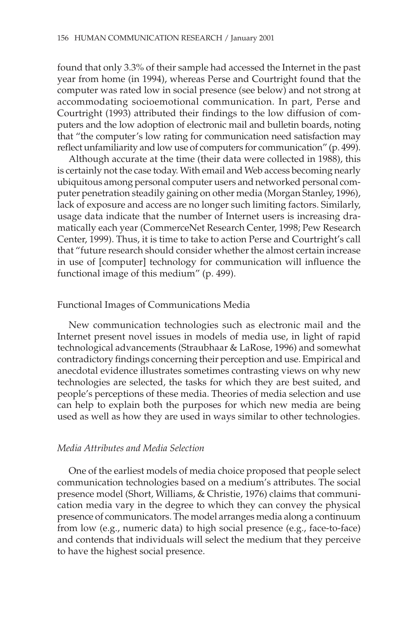found that only 3.3% of their sample had accessed the Internet in the past year from home (in 1994), whereas Perse and Courtright found that the computer was rated low in social presence (see below) and not strong at accommodating socioemotional communication. In part, Perse and Courtright (1993) attributed their findings to the low diffusion of computers and the low adoption of electronic mail and bulletin boards, noting that "the computer's low rating for communication need satisfaction may reflect unfamiliarity and low use of computers for communication" (p. 499).

Although accurate at the time (their data were collected in 1988), this is certainly not the case today. With email and Web access becoming nearly ubiquitous among personal computer users and networked personal computer penetration steadily gaining on other media (Morgan Stanley, 1996), lack of exposure and access are no longer such limiting factors. Similarly, usage data indicate that the number of Internet users is increasing dramatically each year (CommerceNet Research Center, 1998; Pew Research Center, 1999). Thus, it is time to take to action Perse and Courtright's call that "future research should consider whether the almost certain increase in use of [computer] technology for communication will influence the functional image of this medium" (p. 499).

## Functional Images of Communications Media

New communication technologies such as electronic mail and the Internet present novel issues in models of media use, in light of rapid technological advancements (Straubhaar & LaRose, 1996) and somewhat contradictory findings concerning their perception and use. Empirical and anecdotal evidence illustrates sometimes contrasting views on why new technologies are selected, the tasks for which they are best suited, and people's perceptions of these media. Theories of media selection and use can help to explain both the purposes for which new media are being used as well as how they are used in ways similar to other technologies.

# *Media Attributes and Media Selection*

One of the earliest models of media choice proposed that people select communication technologies based on a medium's attributes. The social presence model (Short, Williams, & Christie, 1976) claims that communication media vary in the degree to which they can convey the physical presence of communicators. The model arranges media along a continuum from low (e.g., numeric data) to high social presence (e.g., face-to-face) and contends that individuals will select the medium that they perceive to have the highest social presence.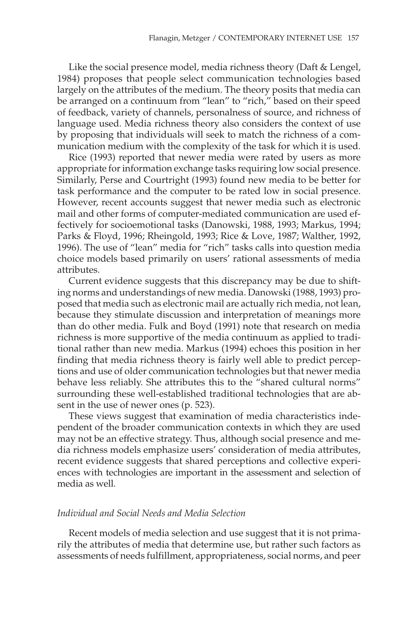Like the social presence model, media richness theory (Daft & Lengel, 1984) proposes that people select communication technologies based largely on the attributes of the medium. The theory posits that media can be arranged on a continuum from "lean" to "rich," based on their speed of feedback, variety of channels, personalness of source, and richness of language used. Media richness theory also considers the context of use by proposing that individuals will seek to match the richness of a communication medium with the complexity of the task for which it is used.

Rice (1993) reported that newer media were rated by users as more appropriate for information exchange tasks requiring low social presence. Similarly, Perse and Courtright (1993) found new media to be better for task performance and the computer to be rated low in social presence. However, recent accounts suggest that newer media such as electronic mail and other forms of computer-mediated communication are used effectively for socioemotional tasks (Danowski, 1988, 1993; Markus, 1994; Parks & Floyd, 1996; Rheingold, 1993; Rice & Love, 1987; Walther, 1992, 1996). The use of "lean" media for "rich" tasks calls into question media choice models based primarily on users' rational assessments of media attributes.

Current evidence suggests that this discrepancy may be due to shifting norms and understandings of new media. Danowski (1988, 1993) proposed that media such as electronic mail are actually rich media, not lean, because they stimulate discussion and interpretation of meanings more than do other media. Fulk and Boyd (1991) note that research on media richness is more supportive of the media continuum as applied to traditional rather than new media. Markus (1994) echoes this position in her finding that media richness theory is fairly well able to predict perceptions and use of older communication technologies but that newer media behave less reliably. She attributes this to the "shared cultural norms" surrounding these well-established traditional technologies that are absent in the use of newer ones (p. 523).

These views suggest that examination of media characteristics independent of the broader communication contexts in which they are used may not be an effective strategy. Thus, although social presence and media richness models emphasize users' consideration of media attributes, recent evidence suggests that shared perceptions and collective experiences with technologies are important in the assessment and selection of media as well.

## *Individual and Social Needs and Media Selection*

Recent models of media selection and use suggest that it is not primarily the attributes of media that determine use, but rather such factors as assessments of needs fulfillment, appropriateness, social norms, and peer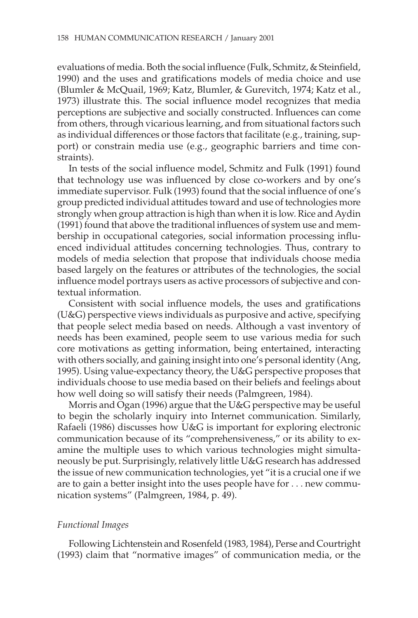evaluations of media. Both the social influence (Fulk, Schmitz, & Steinfield, 1990) and the uses and gratifications models of media choice and use (Blumler & McQuail, 1969; Katz, Blumler, & Gurevitch, 1974; Katz et al., 1973) illustrate this. The social influence model recognizes that media perceptions are subjective and socially constructed. Influences can come from others, through vicarious learning, and from situational factors such as individual differences or those factors that facilitate (e.g., training, support) or constrain media use (e.g., geographic barriers and time constraints).

In tests of the social influence model, Schmitz and Fulk (1991) found that technology use was influenced by close co-workers and by one's immediate supervisor. Fulk (1993) found that the social influence of one's group predicted individual attitudes toward and use of technologies more strongly when group attraction is high than when it is low. Rice and Aydin (1991) found that above the traditional influences of system use and membership in occupational categories, social information processing influenced individual attitudes concerning technologies. Thus, contrary to models of media selection that propose that individuals choose media based largely on the features or attributes of the technologies, the social influence model portrays users as active processors of subjective and contextual information.

Consistent with social influence models, the uses and gratifications (U&G) perspective views individuals as purposive and active, specifying that people select media based on needs. Although a vast inventory of needs has been examined, people seem to use various media for such core motivations as getting information, being entertained, interacting with others socially, and gaining insight into one's personal identity (Ang, 1995). Using value-expectancy theory, the U&G perspective proposes that individuals choose to use media based on their beliefs and feelings about how well doing so will satisfy their needs (Palmgreen, 1984).

Morris and Ogan (1996) argue that the U&G perspective may be useful to begin the scholarly inquiry into Internet communication. Similarly, Rafaeli (1986) discusses how U&G is important for exploring electronic communication because of its "comprehensiveness," or its ability to examine the multiple uses to which various technologies might simultaneously be put. Surprisingly, relatively little U&G research has addressed the issue of new communication technologies, yet "it is a crucial one if we are to gain a better insight into the uses people have for . . . new communication systems" (Palmgreen, 1984, p. 49).

#### *Functional Images*

Following Lichtenstein and Rosenfeld (1983, 1984), Perse and Courtright (1993) claim that "normative images" of communication media, or the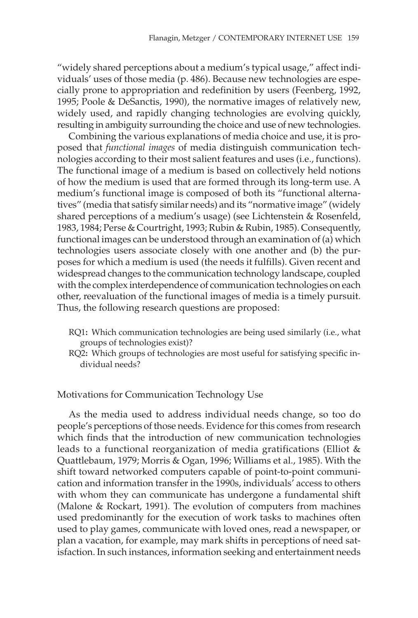"widely shared perceptions about a medium's typical usage," affect individuals' uses of those media (p. 486). Because new technologies are especially prone to appropriation and redefinition by users (Feenberg, 1992, 1995; Poole & DeSanctis, 1990), the normative images of relatively new, widely used, and rapidly changing technologies are evolving quickly, resulting in ambiguity surrounding the choice and use of new technologies.

Combining the various explanations of media choice and use, it is proposed that *functional images* of media distinguish communication technologies according to their most salient features and uses (i.e., functions). The functional image of a medium is based on collectively held notions of how the medium is used that are formed through its long-term use. A medium's functional image is composed of both its "functional alternatives" (media that satisfy similar needs) and its "normative image" (widely shared perceptions of a medium's usage) (see Lichtenstein & Rosenfeld, 1983, 1984; Perse & Courtright, 1993; Rubin & Rubin, 1985). Consequently, functional images can be understood through an examination of (a) which technologies users associate closely with one another and (b) the purposes for which a medium is used (the needs it fulfills). Given recent and widespread changes to the communication technology landscape, coupled with the complex interdependence of communication technologies on each other, reevaluation of the functional images of media is a timely pursuit. Thus, the following research questions are proposed:

- RQ1**:** Which communication technologies are being used similarly (i.e., what groups of technologies exist)?
- RQ2**:** Which groups of technologies are most useful for satisfying specific individual needs?

Motivations for Communication Technology Use

As the media used to address individual needs change, so too do people's perceptions of those needs. Evidence for this comes from research which finds that the introduction of new communication technologies leads to a functional reorganization of media gratifications (Elliot & Quattlebaum, 1979; Morris & Ogan, 1996; Williams et al., 1985). With the shift toward networked computers capable of point-to-point communication and information transfer in the 1990s, individuals' access to others with whom they can communicate has undergone a fundamental shift (Malone & Rockart, 1991). The evolution of computers from machines used predominantly for the execution of work tasks to machines often used to play games, communicate with loved ones, read a newspaper, or plan a vacation, for example, may mark shifts in perceptions of need satisfaction. In such instances, information seeking and entertainment needs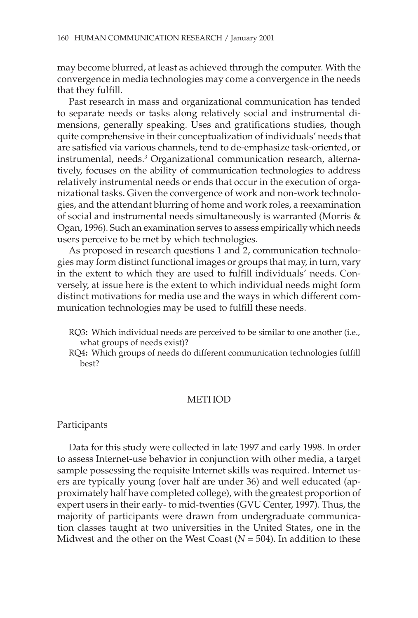may become blurred, at least as achieved through the computer. With the convergence in media technologies may come a convergence in the needs that they fulfill.

Past research in mass and organizational communication has tended to separate needs or tasks along relatively social and instrumental dimensions, generally speaking. Uses and gratifications studies, though quite comprehensive in their conceptualization of individuals' needs that are satisfied via various channels, tend to de-emphasize task-oriented, or instrumental, needs.3 Organizational communication research, alternatively, focuses on the ability of communication technologies to address relatively instrumental needs or ends that occur in the execution of organizational tasks. Given the convergence of work and non-work technologies, and the attendant blurring of home and work roles, a reexamination of social and instrumental needs simultaneously is warranted (Morris & Ogan, 1996). Such an examination serves to assess empirically which needs users perceive to be met by which technologies.

As proposed in research questions 1 and 2, communication technologies may form distinct functional images or groups that may, in turn, vary in the extent to which they are used to fulfill individuals' needs. Conversely, at issue here is the extent to which individual needs might form distinct motivations for media use and the ways in which different communication technologies may be used to fulfill these needs.

- RQ3**:** Which individual needs are perceived to be similar to one another (i.e., what groups of needs exist)?
- RQ4**:** Which groups of needs do different communication technologies fulfill best?

## METHOD

#### Participants

Data for this study were collected in late 1997 and early 1998. In order to assess Internet-use behavior in conjunction with other media, a target sample possessing the requisite Internet skills was required. Internet users are typically young (over half are under 36) and well educated (approximately half have completed college), with the greatest proportion of expert users in their early- to mid-twenties (GVU Center, 1997). Thus, the majority of participants were drawn from undergraduate communication classes taught at two universities in the United States, one in the Midwest and the other on the West Coast (*N* = 504). In addition to these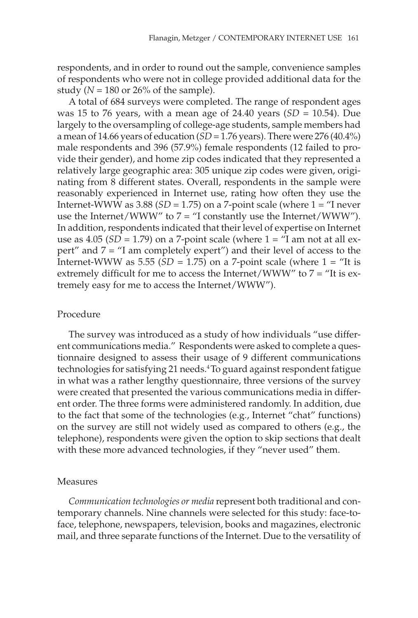respondents, and in order to round out the sample, convenience samples of respondents who were not in college provided additional data for the study ( $N = 180$  or 26% of the sample).

A total of 684 surveys were completed. The range of respondent ages was 15 to 76 years, with a mean age of  $24.40$  years  $(SD = 10.54)$ . Due largely to the oversampling of college-age students, sample members had a mean of 14.66 years of education (*SD* = 1.76 years). There were 276 (40.4%) male respondents and 396 (57.9%) female respondents (12 failed to provide their gender), and home zip codes indicated that they represented a relatively large geographic area: 305 unique zip codes were given, originating from 8 different states. Overall, respondents in the sample were reasonably experienced in Internet use, rating how often they use the Internet-WWW as  $3.88$  (*SD* = 1.75) on a 7-point scale (where  $1 =$  "I never use the Internet/WWW" to  $7 =$  "I constantly use the Internet/WWW"). In addition, respondents indicated that their level of expertise on Internet use as  $4.05$  (*SD* = 1.79) on a 7-point scale (where  $1 =$  "I am not at all expert" and 7 = "I am completely expert") and their level of access to the Internet-WWW as  $5.55$  (*SD* = 1.75) on a 7-point scale (where  $1 =$  "It is extremely difficult for me to access the Internet/WWW" to  $7 =$  "It is extremely easy for me to access the Internet/WWW").

# Procedure

The survey was introduced as a study of how individuals "use different communications media." Respondents were asked to complete a questionnaire designed to assess their usage of 9 different communications technologies for satisfying 21 needs.4 To guard against respondent fatigue in what was a rather lengthy questionnaire, three versions of the survey were created that presented the various communications media in different order. The three forms were administered randomly. In addition, due to the fact that some of the technologies (e.g., Internet "chat" functions) on the survey are still not widely used as compared to others (e.g., the telephone), respondents were given the option to skip sections that dealt with these more advanced technologies, if they "never used" them.

#### Measures

*Communication technologies or media* represent both traditional and contemporary channels. Nine channels were selected for this study: face-toface, telephone, newspapers, television, books and magazines, electronic mail, and three separate functions of the Internet. Due to the versatility of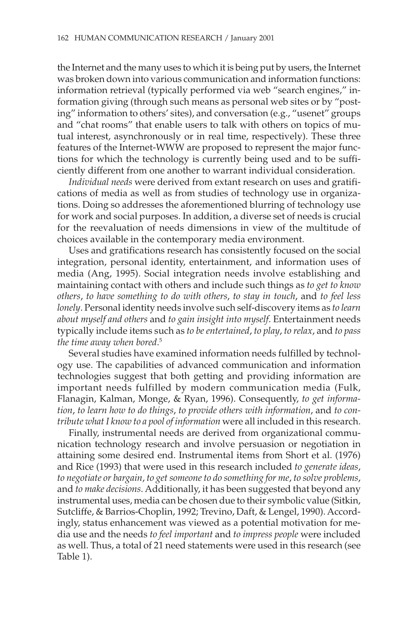the Internet and the many uses to which it is being put by users, the Internet was broken down into various communication and information functions: information retrieval (typically performed via web "search engines," information giving (through such means as personal web sites or by "posting" information to others' sites), and conversation (e.g., "usenet" groups and "chat rooms" that enable users to talk with others on topics of mutual interest, asynchronously or in real time, respectively). These three features of the Internet-WWW are proposed to represent the major functions for which the technology is currently being used and to be sufficiently different from one another to warrant individual consideration.

*Individual needs* were derived from extant research on uses and gratifications of media as well as from studies of technology use in organizations. Doing so addresses the aforementioned blurring of technology use for work and social purposes. In addition, a diverse set of needs is crucial for the reevaluation of needs dimensions in view of the multitude of choices available in the contemporary media environment.

Uses and gratifications research has consistently focused on the social integration, personal identity, entertainment, and information uses of media (Ang, 1995). Social integration needs involve establishing and maintaining contact with others and include such things as *to get to know others*, *to have something to do with others*, *to stay in touch*, and *to feel less lonely*. Personal identity needs involve such self-discovery items as *to learn about myself and others* and *to gain insight into myself*. Entertainment needs typically include items such as *to be entertained*, *to play*, *to relax*, and *to pass the time away when bored*. 5

Several studies have examined information needs fulfilled by technology use. The capabilities of advanced communication and information technologies suggest that both getting and providing information are important needs fulfilled by modern communication media (Fulk, Flanagin, Kalman, Monge, & Ryan, 1996). Consequently, *to get information*, *to learn how to do things*, *to provide others with information*, and *to contribute what I know to a pool of information* were all included in this research.

Finally, instrumental needs are derived from organizational communication technology research and involve persuasion or negotiation in attaining some desired end. Instrumental items from Short et al. (1976) and Rice (1993) that were used in this research included *to generate ideas*, *to negotiate or bargain*, *to get someone to do something for me*, *to solve problems*, and *to make decisions*. Additionally, it has been suggested that beyond any instrumental uses, media can be chosen due to their symbolic value (Sitkin, Sutcliffe, & Barrios-Choplin, 1992; Trevino, Daft, & Lengel, 1990). Accordingly, status enhancement was viewed as a potential motivation for media use and the needs *to feel important* and *to impress people* were included as well. Thus, a total of 21 need statements were used in this research (see Table 1).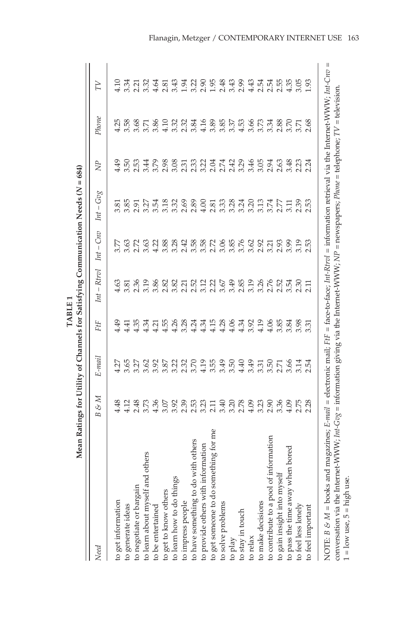|                                                                                                                                                                      |             |           |      | Mean Ratings for Utility of Channels for Satisfying Communication Needs (N = 684) |              |           |                |       |                |
|----------------------------------------------------------------------------------------------------------------------------------------------------------------------|-------------|-----------|------|-----------------------------------------------------------------------------------|--------------|-----------|----------------|-------|----------------|
| Need                                                                                                                                                                 | β<br>Μ<br>B | $E$ -mail | FtF  | $Int-Rtrvl$                                                                       | $Int - Cnv$  | $Int-Gvg$ | $\mathbb{N}^p$ | Phone | $\overline{T}$ |
| to get information                                                                                                                                                   | 4.48        | 4.27      | 4.49 | 4.63                                                                              | 3.77         | 3.81      | 4.49           | 4.25  | 1.10           |
| to generate ideas                                                                                                                                                    | 4.12        | 3.65      | 4.41 | 3.81                                                                              | 3.63         | 3.85      | 3.50           | 3.58  | 3.34           |
|                                                                                                                                                                      | 2.48        | 3.27      | 1.35 | 2.36                                                                              | 2.72         | 2.91      | 2.53           | 3.68  |                |
| to negotiate or bargain<br>to learn about myself and others                                                                                                          | 3.73        | 3.62      | -34  | 3.19                                                                              | 3.63         | 3.27      | 3.44           | 3.71  | 2.21<br>3.32   |
| to be entertained                                                                                                                                                    | 4.36        | 3.92      | 121  | 3.86                                                                              | 4.22         | 3.54      | 3.79           | 3.86  | 4.64           |
| to get to know others<br>to learn how to do things                                                                                                                   | 3.07        | 3.87      | 4.55 | 2.82                                                                              | 3.88         | 3.18      | 2.98           | 4.10  | 2.81           |
|                                                                                                                                                                      | 3.92        | 3.22      | 4.26 | 3.82                                                                              | 3.28         | 3.32      | 3.08           | 3.32  | 3.43           |
| to impress people                                                                                                                                                    | 2.39        | 2.32      | 3.28 |                                                                                   | 2.42         | 2.69      | 2.31           | 2.32  | 1.94           |
| to have something to do with others                                                                                                                                  | 2.53        | 3.70      | 1.24 | 2.21<br>2.52                                                                      | 3.58         | 2.89      | 2.33           | 3.84  | 3.22           |
|                                                                                                                                                                      | 3.23        | 4.19      | 1.34 | 3.12                                                                              | 3.58         | 4.00      | 3.22           | 4.16  | 2.90           |
| something for me<br>to provide others with information<br>to get someone to do something for<br>to solve problems                                                    | 2.11        | 3.55      | 4.15 | 2.22                                                                              | 2.72         | 2.81      | 2.04           | 3.89  | 1.95           |
|                                                                                                                                                                      | 3.40        | 3.49      | 4.28 | 3.67                                                                              | 3.06         | 3.33      | 2.74           | 3.85  | 2.48           |
| to play                                                                                                                                                              | 3.20        | 3.50      | 4.06 | 3.49                                                                              | 3.85         | 3.28      | 2.42           | 3.37  | 3.43           |
|                                                                                                                                                                      | 2.78        | 4.40      | 4.34 | 2.85                                                                              | 3.76         | 3.24      | 3.29           | 4.53  | 2.99           |
| to stay in touch<br>to relax                                                                                                                                         | 4.09        | 3.49      | 3.92 | 3.19                                                                              | 3.62         | 3.20      | 3.46           | 3.66  | 4.43           |
| to make decisions                                                                                                                                                    | 3.23        | 3.31      | 4.19 |                                                                                   |              | 3.13      | 3.05           | 3.73  |                |
| of information<br>to contribute to a pool                                                                                                                            | 2.90        | 3.50      | 4.06 | 3.26<br>2.76                                                                      | 2.92<br>3.21 | 3.74      | 2.94           | 3.34  | 2.54<br>2.54   |
| <i><b>nyself</b></i>                                                                                                                                                 | 3.36        | 2.71      | 3.85 | 2.52                                                                              | 2.93         | 2.77      | 2.63           | 2.88  | 2.55           |
| when bored                                                                                                                                                           | 091         | 3.66      | 3.84 | 3.54                                                                              | 3.99         | 3.11      | 3.48           | 3.70  | 4.35           |
| to gain insight into mys<br>to pass the time away v<br>to feel less lonely                                                                                           | 2.75        | 3.14      | 3.98 | 2.30                                                                              | 3.19         | 2.39      | 2.23           | 3.71  | 3.05           |
| to feel important                                                                                                                                                    | 28          | 2.54      | 3.31 |                                                                                   | 2.53         | ည့        | $\ddot{c}$     | 2.68  | 0.93           |
| NOTE: $B \& M =$ books and magazines; $E$ - <i>mail</i> = electronic mail; $EFE =$ face-to-face; $Int-Rtrv1 =$ information retrieval via the Internet-WWW; Int-Crv = |             |           |      |                                                                                   |              |           |                |       |                |

 $\frac{1}{\epsilon}$ l, l,  $\overline{\mathbf{C}}$ l,  $\begin{tabular}{ll} \bf{TABLE1} \\ \end{tabular}$ **A TABLE 1** j, Č ř ř  $\overline{a}$  conversation via the Internet-WWW; Int-Gog = information giving via the Internet-WWW;  $NP$  = newspapers;  $Phone$  = telephone;  $TV$  = television.<br>1 = low use, 5 = high use. conversation via the Internet-WWW; *Int-Gvg* = information giving via the Internet-WWW; *NP* = newspapers; *Phone* = telephone; *TV* = television.  $1 =$  low use,  $5 =$  high use.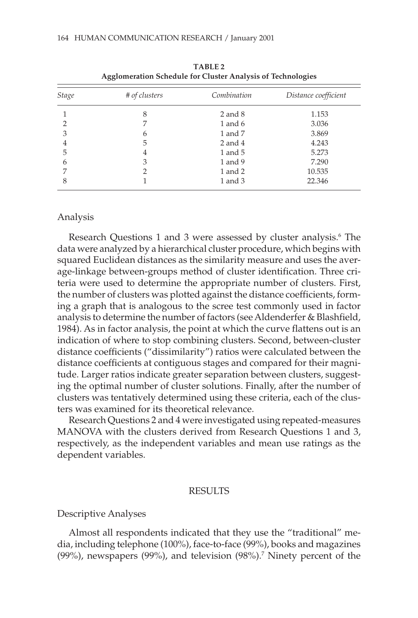| <b>Stage</b>   | # of clusters | Combination | Distance coefficient |
|----------------|---------------|-------------|----------------------|
|                | 8             | $2$ and $8$ | 1.153                |
| $\overline{2}$ | 7             | 1 and $6$   | 3.036                |
| 3              | 6             | 1 and 7     | 3.869                |
| 4              | 5             | $2$ and $4$ | 4.243                |
| 5              | 4             | 1 and 5     | 5.273                |
| 6              | 3             | 1 and 9     | 7.290                |
|                | າ             | 1 and 2     | 10.535               |
| 8              |               | 1 and 3     | 22.346               |

**TABLE 2 Agglomeration Schedule for Cluster Analysis of Technologies**

#### Analysis

Research Questions 1 and 3 were assessed by cluster analysis.<sup>6</sup> The data were analyzed by a hierarchical cluster procedure, which begins with squared Euclidean distances as the similarity measure and uses the average-linkage between-groups method of cluster identification. Three criteria were used to determine the appropriate number of clusters. First, the number of clusters was plotted against the distance coefficients, forming a graph that is analogous to the scree test commonly used in factor analysis to determine the number of factors (see Aldenderfer & Blashfield, 1984). As in factor analysis, the point at which the curve flattens out is an indication of where to stop combining clusters. Second, between-cluster distance coefficients ("dissimilarity") ratios were calculated between the distance coefficients at contiguous stages and compared for their magnitude. Larger ratios indicate greater separation between clusters, suggesting the optimal number of cluster solutions. Finally, after the number of clusters was tentatively determined using these criteria, each of the clusters was examined for its theoretical relevance.

Research Questions 2 and 4 were investigated using repeated-measures MANOVA with the clusters derived from Research Questions 1 and 3, respectively, as the independent variables and mean use ratings as the dependent variables.

#### RESULTS

#### Descriptive Analyses

Almost all respondents indicated that they use the "traditional" media, including telephone (100%), face-to-face (99%), books and magazines (99%), newspapers (99%), and television (98%).7 Ninety percent of the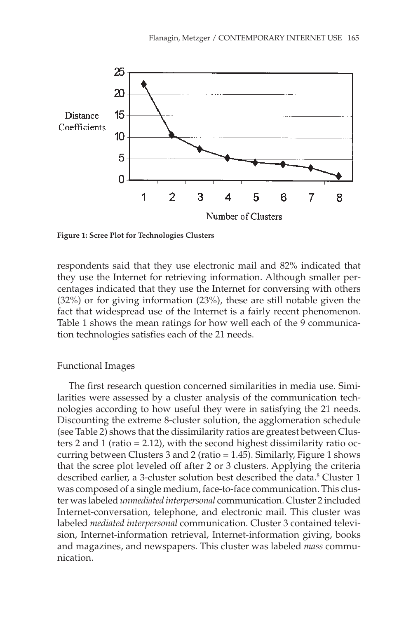

**Figure 1: Scree Plot for Technologies Clusters**

respondents said that they use electronic mail and 82% indicated that they use the Internet for retrieving information. Although smaller percentages indicated that they use the Internet for conversing with others (32%) or for giving information (23%), these are still notable given the fact that widespread use of the Internet is a fairly recent phenomenon. Table 1 shows the mean ratings for how well each of the 9 communication technologies satisfies each of the 21 needs.

#### Functional Images

The first research question concerned similarities in media use. Similarities were assessed by a cluster analysis of the communication technologies according to how useful they were in satisfying the 21 needs. Discounting the extreme 8-cluster solution, the agglomeration schedule (see Table 2) shows that the dissimilarity ratios are greatest between Clusters 2 and 1 (ratio = 2.12), with the second highest dissimilarity ratio occurring between Clusters 3 and 2 (ratio = 1.45). Similarly, Figure 1 shows that the scree plot leveled off after 2 or 3 clusters. Applying the criteria described earlier, a 3-cluster solution best described the data.<sup>8</sup> Cluster 1 was composed of a single medium, face-to-face communication. This cluster was labeled *unmediated interpersonal* communication. Cluster 2 included Internet-conversation, telephone, and electronic mail. This cluster was labeled *mediated interpersonal* communication*.* Cluster 3 contained television, Internet-information retrieval, Internet-information giving, books and magazines, and newspapers. This cluster was labeled *mass* communication.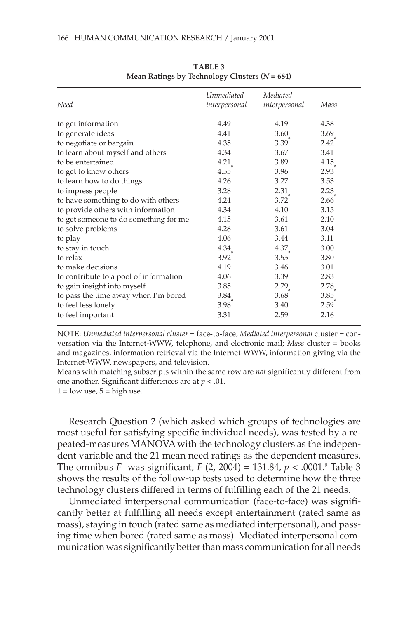#### 166 HUMAN COMMUNICATION RESEARCH / January 2001

| Need                                   | Unmediated<br>interpersonal | Mediated<br>interpersonal | Mass                |  |
|----------------------------------------|-----------------------------|---------------------------|---------------------|--|
| to get information                     | 4.49                        | 4.19                      | 4.38                |  |
| to generate ideas                      | 4.41                        | $3.60_{\text{a}}$         | $3.69_a$            |  |
| to negotiate or bargain                | 4.35                        | 3.39                      | 2.42                |  |
| to learn about myself and others       | 4.34                        | 3.67                      | 3.41                |  |
| to be entertained                      | 4.21                        | 3.89                      | 4.15                |  |
| to get to know others                  | 4.55                        | 3.96                      | 2.93                |  |
| to learn how to do things              | 4.26                        | 3.27                      | 3.53                |  |
| to impress people                      | 3.28                        | 2.31 <sub>a</sub>         | $2.23$ <sub>a</sub> |  |
| to have something to do with others    | 4.24                        | 3.72                      | 2.66                |  |
| to provide others with information     | 4.34                        | 4.10                      | 3.15                |  |
| to get someone to do something for me  | 4.15                        | 3.61                      | 2.10                |  |
| to solve problems                      | 4.28                        | 3.61                      | 3.04                |  |
| to play                                | 4.06                        | 3.44                      | 3.11                |  |
| to stay in touch                       | 4.34 <sub>a</sub>           | $4.37_{\circ}$            | 3.00                |  |
| to relax                               | 3.92                        | 3.55                      | 3.80                |  |
| to make decisions                      | 4.19                        | 3.46                      | 3.01                |  |
| to contribute to a pool of information | 4.06                        | 3.39                      | 2.83                |  |
| to gain insight into myself            | 3.85                        | $2.79_a$                  | 2.78                |  |
| to pass the time away when I'm bored   | $3.84$ <sub>a</sub>         | 3.68                      | 3.85                |  |
| to feel less lonely                    | 3.98                        | 3.40                      | 2.59                |  |
| to feel important                      | 3.31                        | 2.59                      | 2.16                |  |

**TABLE 3 Mean Ratings by Technology Clusters (***N* **= 684)**

NOTE: *Unmediated interpersonal cluster* = face-to-face; *Mediated interpersonal* cluster = conversation via the Internet-WWW, telephone, and electronic mail; *Mass* cluster = books and magazines, information retrieval via the Internet-WWW, information giving via the Internet-WWW, newspapers, and television.

Means with matching subscripts within the same row are *not* significantly different from one another. Significant differences are at *p* < .01.

 $1 =$  low use,  $5 =$  high use.

Research Question 2 (which asked which groups of technologies are most useful for satisfying specific individual needs), was tested by a repeated-measures MANOVA with the technology clusters as the independent variable and the 21 mean need ratings as the dependent measures. The omnibus *F* was significant, *F* (2, 2004) = 131.84,  $p < .0001$ .<sup>9</sup> Table 3 shows the results of the follow-up tests used to determine how the three technology clusters differed in terms of fulfilling each of the 21 needs.

Unmediated interpersonal communication (face-to-face) was significantly better at fulfilling all needs except entertainment (rated same as mass), staying in touch (rated same as mediated interpersonal), and passing time when bored (rated same as mass). Mediated interpersonal communication was significantly better than mass communication for all needs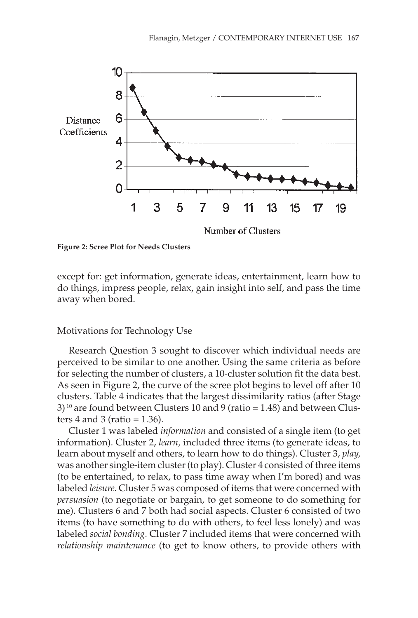

**Figure 2: Scree Plot for Needs Clusters**

except for: get information, generate ideas, entertainment, learn how to do things, impress people, relax, gain insight into self, and pass the time away when bored.

Motivations for Technology Use

Research Question 3 sought to discover which individual needs are perceived to be similar to one another. Using the same criteria as before for selecting the number of clusters, a 10-cluster solution fit the data best. As seen in Figure 2, the curve of the scree plot begins to level off after 10 clusters. Table 4 indicates that the largest dissimilarity ratios (after Stage  $3)$ <sup>10</sup> are found between Clusters 10 and 9 (ratio = 1.48) and between Clusters 4 and 3 (ratio  $= 1.36$ ).

Cluster 1 was labeled *information* and consisted of a single item (to get information). Cluster 2, *learn,* included three items (to generate ideas, to learn about myself and others, to learn how to do things). Cluster 3, *play,* was another single-item cluster (to play). Cluster 4 consisted of three items (to be entertained, to relax, to pass time away when I'm bored) and was labeled *leisure.* Cluster 5 was composed of items that were concerned with *persuasion* (to negotiate or bargain, to get someone to do something for me). Clusters 6 and 7 both had social aspects. Cluster 6 consisted of two items (to have something to do with others, to feel less lonely) and was labeled *social bonding.* Cluster 7 included items that were concerned with *relationship maintenance* (to get to know others, to provide others with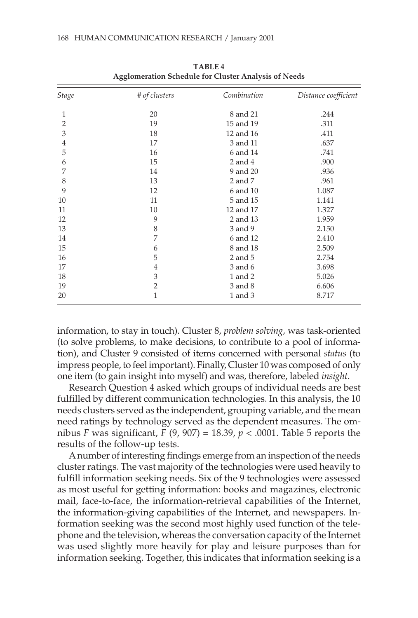|                | $\tilde{}$     |             |                      |
|----------------|----------------|-------------|----------------------|
| Stage          | # of clusters  | Combination | Distance coefficient |
| $\mathbf 1$    | 20             | 8 and 21    | .244                 |
| $\overline{2}$ | 19             | 15 and 19   | .311                 |
| 3              | 18             | 12 and 16   | .411                 |
| $\overline{4}$ | 17             | 3 and 11    | .637                 |
| 5              | 16             | 6 and 14    | .741                 |
| 6              | 15             | $2$ and $4$ | .900                 |
| $\overline{7}$ | 14             | 9 and 20    | .936                 |
| 8              | 13             | 2 and 7     | .961                 |
| 9              | 12             | 6 and 10    | 1.087                |
| 10             | 11             | 5 and 15    | 1.141                |
| 11             | 10             | 12 and 17   | 1.327                |
| 12             | 9              | 2 and 13    | 1.959                |
| 13             | 8              | 3 and 9     | 2.150                |
| 14             | 7              | 6 and 12    | 2.410                |
| 15             | 6              | 8 and 18    | 2.509                |
| 16             | 5              | $2$ and $5$ | 2.754                |
| 17             | $\overline{4}$ | 3 and 6     | 3.698                |
| 18             | 3              | 1 and 2     | 5.026                |
| 19             | $\overline{c}$ | 3 and 8     | 6.606                |
| 20             | $\mathbf{1}$   | 1 and 3     | 8.717                |
|                |                |             |                      |

information, to stay in touch). Cluster 8, *problem solving,* was task-oriented

**TABLE 4 Agglomeration Schedule for Cluster Analysis of Needs**

(to solve problems, to make decisions, to contribute to a pool of information), and Cluster 9 consisted of items concerned with personal *status* (to impress people, to feel important). Finally, Cluster 10 was composed of only one item (to gain insight into myself) and was, therefore, labeled *insight*.

Research Question 4 asked which groups of individual needs are best fulfilled by different communication technologies. In this analysis, the 10 needs clusters served as the independent, grouping variable, and the mean need ratings by technology served as the dependent measures. The omnibus *F* was significant, *F* (9, 907) = 18.39, *p* < .0001. Table 5 reports the results of the follow-up tests.

A number of interesting findings emerge from an inspection of the needs cluster ratings. The vast majority of the technologies were used heavily to fulfill information seeking needs. Six of the 9 technologies were assessed as most useful for getting information: books and magazines, electronic mail, face-to-face, the information-retrieval capabilities of the Internet, the information-giving capabilities of the Internet, and newspapers. Information seeking was the second most highly used function of the telephone and the television, whereas the conversation capacity of the Internet was used slightly more heavily for play and leisure purposes than for information seeking. Together, this indicates that information seeking is a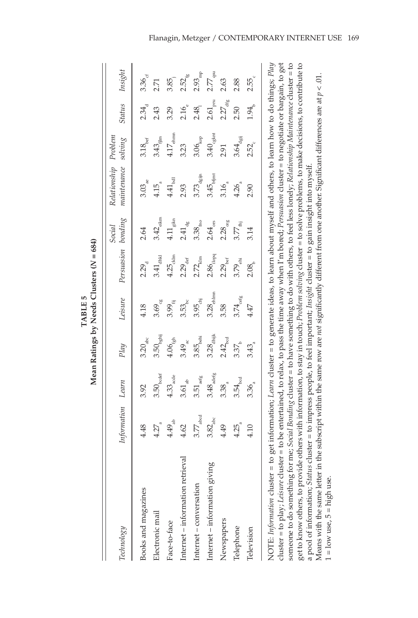|      | į  |
|------|----|
|      |    |
| LO.  |    |
|      |    |
| ABLF | Ď  |
| FA   | Ξ. |
|      |    |
|      | Ţ  |
|      | Ξ  |
|      | ù  |
|      | ٦  |
|      | ═  |
|      |    |

*N* **= 684)**

| Technology                                                                                                                                                                                                                                                                                                                                                                                                                                                                                                                                                                                                                                            | Information Learn    |                            | Play                  | Leisure               | Persuasion bonding               | Social               | Relationship Problem<br>maintenance | $solving$            | <b>Status</b>       | Insight             |
|-------------------------------------------------------------------------------------------------------------------------------------------------------------------------------------------------------------------------------------------------------------------------------------------------------------------------------------------------------------------------------------------------------------------------------------------------------------------------------------------------------------------------------------------------------------------------------------------------------------------------------------------------------|----------------------|----------------------------|-----------------------|-----------------------|----------------------------------|----------------------|-------------------------------------|----------------------|---------------------|---------------------|
| Books and magazines                                                                                                                                                                                                                                                                                                                                                                                                                                                                                                                                                                                                                                   | 4.48                 | 3.92                       | 3.20 <sub>abc</sub>   | 4.18                  | 2.29 <sub>d</sub>                | 2.64                 | $3.03$ <sub>ae</sub>                | $3.18_{\text{bef}}$  | $2.34_{\rm d}$      | 3.36 <sub>et</sub>  |
| Electronic mail                                                                                                                                                                                                                                                                                                                                                                                                                                                                                                                                                                                                                                       | $4.27$ <sup>a</sup>  | $3.50_{\rm{bedef}}$        | $3.50_{\rm ghij}$     | $3.69$ <sub>cg</sub>  | $3.41_{\scriptsize{\text{dhl}}}$ | 3.42 <sub>eikm</sub> | $4.15^{0}$                          | 3.43 <sub>film</sub> | 2.43                | 2.71                |
| Face-to-face                                                                                                                                                                                                                                                                                                                                                                                                                                                                                                                                                                                                                                          | 4.49a                | $4.33_{\mbox{\tiny acde}}$ | $4.06_{\rm fgh}$      | 3.99 <sub>ffii</sub>  | $4.25_{\rm cklm}$                | $4.11_{\rm gilm}$    | $4.41_{\rm bal}$                    | $4.17_{\rm{ehmn}}$   | 3.29                | 3.85                |
| Internet – information retrieval                                                                                                                                                                                                                                                                                                                                                                                                                                                                                                                                                                                                                      | 4.62                 | $3.61_{ab}$                | $3.49$ <sub>ac</sub>  | 3.53 <sub>pc</sub>    | $2.29_{\text{def}}$              | $2.41_{\text{dg}}$   | 2.93                                | 3.23                 | 2.16 <sub>e</sub>   | 2.52 <sub>fg</sub>  |
| Internet – conversation                                                                                                                                                                                                                                                                                                                                                                                                                                                                                                                                                                                                                               | 3.77 <sub>abcd</sub> | $3.51_{\text{aeg}}$        | $3.85_{\text{behi}}$  | 3.95 <sub>chi</sub>   | 2.72 <sub>klm</sub>              | $3.38_{\text{fmo}}$  | $3.73_{\rm{agin}}$                  | $3.06_{\text{kop}}$  | 2.48                | 2.93 <sub>mp</sub>  |
| Internet - information giving                                                                                                                                                                                                                                                                                                                                                                                                                                                                                                                                                                                                                         | $3.82_{abc}$         | $3.48_{\rm adefg}$         | 3.28 <sub>drijk</sub> | 3.28 <sub>ehlmm</sub> | 2.86 <sub>loopq</sub>            | $2.64_{\circ}$       | $3.45_{\text{bifint}}$              | 3.40 <sub>gknt</sub> | $2.61_{\text{pru}}$ | $2.77_{\text{gsu}}$ |
| Newspapers                                                                                                                                                                                                                                                                                                                                                                                                                                                                                                                                                                                                                                            | 4.49                 | $3.38\degree$              | $2.42$ <sub>bcd</sub> | 3.58                  | $2.29_{\text{bef}}$              | $2.28_{\text{ceg}}$  | $3.16_{\circ}$                      | 2.91                 | $2.27_{\rm{dfg}}$   | 2.63                |
| Telephone                                                                                                                                                                                                                                                                                                                                                                                                                                                                                                                                                                                                                                             | $4.25$ <sup>a</sup>  | $3.54_{\text{bed}}$        | 3.37 <sub>b</sub>     | $3.74_{\text{cefg}}$  | 3.79 <sub>ehi</sub>              | 3.77 <sub>thi</sub>  | 4.26                                | $3.64_{\text{qgij}}$ | 2.50                | 2.88                |
| Television                                                                                                                                                                                                                                                                                                                                                                                                                                                                                                                                                                                                                                            | 4.10                 | $3.36\degree$              | 3.43                  | 4.47                  | 2.08 <sub>b</sub>                | 3.14                 | 2.90                                | $2.52_c$             | 1.94 <sub>b</sub>   | 2.55 <sub>c</sub>   |
| cluster = to play; Leisure cluster = to be entertained, to relax, to pass the time away when I'm bored; Persuasion cluster = to negotiate or bargain, to get<br>NOTE: Information cluster = to get information; Learn cluster = to generate ideas, to learn about myself and others, to learn how to do things; Play<br>someone to do something for me; Social Bonding cluster = to have something to do with others, to feel less lonely; Relationship Maintenance cluster = to<br>get to know others, to provide others with information, to stay in touch; <i>Problem solving</i> cluster = to solve problems, to make decisions, to contribute to |                      |                            |                       |                       |                                  |                      |                                     |                      |                     |                     |

a pool of information; *Status* cluster = to impress people, to feel important; *Insight* cluster = to gain insight into myself.

a pool of information; Status cluster = to impress people, to feel important; Insight cluster = to gain insight into myself.

Means with the same letter in the subscript within the same row are *not* significantly different from one another. Significant differences are at *p* < .01.

Means with the same letter in the subscript within the same row are not significantly different from one another. Significant differences are at  $p < 01$ .

 $1 =$  low use,  $5 =$  high use.

 $1 =$ low use,  $5 =$ high use.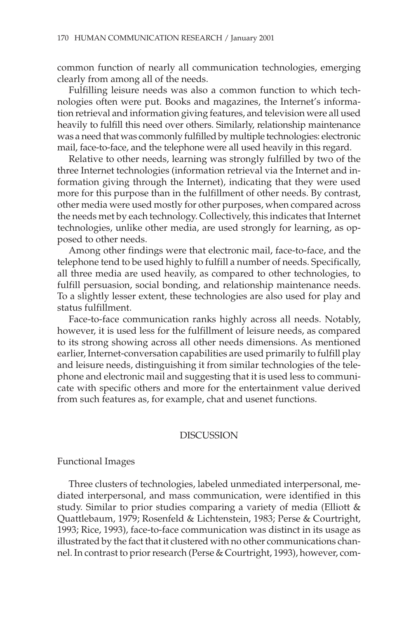common function of nearly all communication technologies, emerging clearly from among all of the needs.

Fulfilling leisure needs was also a common function to which technologies often were put. Books and magazines, the Internet's information retrieval and information giving features, and television were all used heavily to fulfill this need over others. Similarly, relationship maintenance was a need that was commonly fulfilled by multiple technologies: electronic mail, face-to-face, and the telephone were all used heavily in this regard.

Relative to other needs, learning was strongly fulfilled by two of the three Internet technologies (information retrieval via the Internet and information giving through the Internet), indicating that they were used more for this purpose than in the fulfillment of other needs. By contrast, other media were used mostly for other purposes, when compared across the needs met by each technology. Collectively, this indicates that Internet technologies, unlike other media, are used strongly for learning, as opposed to other needs.

Among other findings were that electronic mail, face-to-face, and the telephone tend to be used highly to fulfill a number of needs. Specifically, all three media are used heavily, as compared to other technologies, to fulfill persuasion, social bonding, and relationship maintenance needs. To a slightly lesser extent, these technologies are also used for play and status fulfillment.

Face-to-face communication ranks highly across all needs. Notably, however, it is used less for the fulfillment of leisure needs, as compared to its strong showing across all other needs dimensions. As mentioned earlier, Internet-conversation capabilities are used primarily to fulfill play and leisure needs, distinguishing it from similar technologies of the telephone and electronic mail and suggesting that it is used less to communicate with specific others and more for the entertainment value derived from such features as, for example, chat and usenet functions.

# DISCUSSION

#### Functional Images

Three clusters of technologies, labeled unmediated interpersonal, mediated interpersonal, and mass communication, were identified in this study. Similar to prior studies comparing a variety of media (Elliott  $\&$ Quattlebaum, 1979; Rosenfeld & Lichtenstein, 1983; Perse & Courtright, 1993; Rice, 1993), face-to-face communication was distinct in its usage as illustrated by the fact that it clustered with no other communications channel. In contrast to prior research (Perse & Courtright, 1993), however, com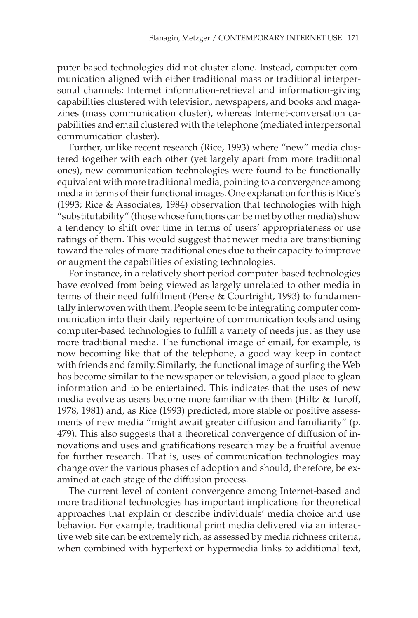puter-based technologies did not cluster alone. Instead, computer communication aligned with either traditional mass or traditional interpersonal channels: Internet information-retrieval and information-giving capabilities clustered with television, newspapers, and books and magazines (mass communication cluster), whereas Internet-conversation capabilities and email clustered with the telephone (mediated interpersonal communication cluster).

Further, unlike recent research (Rice, 1993) where "new" media clustered together with each other (yet largely apart from more traditional ones), new communication technologies were found to be functionally equivalent with more traditional media, pointing to a convergence among media in terms of their functional images. One explanation for this is Rice's (1993; Rice & Associates, 1984) observation that technologies with high "substitutability" (those whose functions can be met by other media) show a tendency to shift over time in terms of users' appropriateness or use ratings of them. This would suggest that newer media are transitioning toward the roles of more traditional ones due to their capacity to improve or augment the capabilities of existing technologies.

For instance, in a relatively short period computer-based technologies have evolved from being viewed as largely unrelated to other media in terms of their need fulfillment (Perse & Courtright, 1993) to fundamentally interwoven with them. People seem to be integrating computer communication into their daily repertoire of communication tools and using computer-based technologies to fulfill a variety of needs just as they use more traditional media. The functional image of email, for example, is now becoming like that of the telephone, a good way keep in contact with friends and family. Similarly, the functional image of surfing the Web has become similar to the newspaper or television, a good place to glean information and to be entertained. This indicates that the uses of new media evolve as users become more familiar with them (Hiltz & Turoff, 1978, 1981) and, as Rice (1993) predicted, more stable or positive assessments of new media "might await greater diffusion and familiarity" (p. 479). This also suggests that a theoretical convergence of diffusion of innovations and uses and gratifications research may be a fruitful avenue for further research. That is, uses of communication technologies may change over the various phases of adoption and should, therefore, be examined at each stage of the diffusion process.

The current level of content convergence among Internet-based and more traditional technologies has important implications for theoretical approaches that explain or describe individuals' media choice and use behavior. For example, traditional print media delivered via an interactive web site can be extremely rich, as assessed by media richness criteria, when combined with hypertext or hypermedia links to additional text,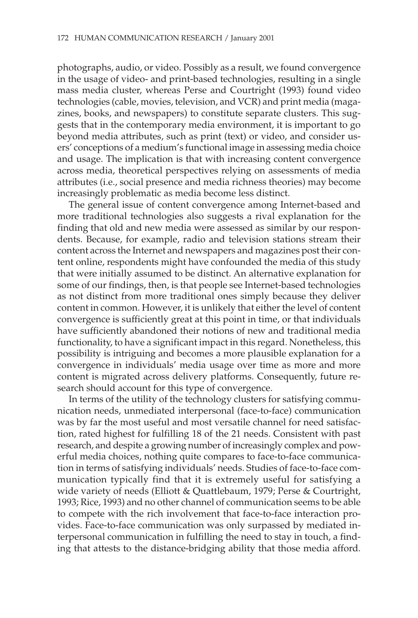photographs, audio, or video. Possibly as a result, we found convergence in the usage of video- and print-based technologies, resulting in a single mass media cluster, whereas Perse and Courtright (1993) found video technologies (cable, movies, television, and VCR) and print media (magazines, books, and newspapers) to constitute separate clusters. This suggests that in the contemporary media environment, it is important to go beyond media attributes, such as print (text) or video, and consider users' conceptions of a medium's functional image in assessing media choice and usage. The implication is that with increasing content convergence across media, theoretical perspectives relying on assessments of media attributes (i.e., social presence and media richness theories) may become increasingly problematic as media become less distinct.

The general issue of content convergence among Internet-based and more traditional technologies also suggests a rival explanation for the finding that old and new media were assessed as similar by our respondents. Because, for example, radio and television stations stream their content across the Internet and newspapers and magazines post their content online, respondents might have confounded the media of this study that were initially assumed to be distinct. An alternative explanation for some of our findings, then, is that people see Internet-based technologies as not distinct from more traditional ones simply because they deliver content in common. However, it is unlikely that either the level of content convergence is sufficiently great at this point in time, or that individuals have sufficiently abandoned their notions of new and traditional media functionality, to have a significant impact in this regard. Nonetheless, this possibility is intriguing and becomes a more plausible explanation for a convergence in individuals' media usage over time as more and more content is migrated across delivery platforms. Consequently, future research should account for this type of convergence.

In terms of the utility of the technology clusters for satisfying communication needs, unmediated interpersonal (face-to-face) communication was by far the most useful and most versatile channel for need satisfaction, rated highest for fulfilling 18 of the 21 needs. Consistent with past research, and despite a growing number of increasingly complex and powerful media choices, nothing quite compares to face-to-face communication in terms of satisfying individuals' needs. Studies of face-to-face communication typically find that it is extremely useful for satisfying a wide variety of needs (Elliott & Quattlebaum, 1979; Perse & Courtright, 1993; Rice, 1993) and no other channel of communication seems to be able to compete with the rich involvement that face-to-face interaction provides. Face-to-face communication was only surpassed by mediated interpersonal communication in fulfilling the need to stay in touch, a finding that attests to the distance-bridging ability that those media afford.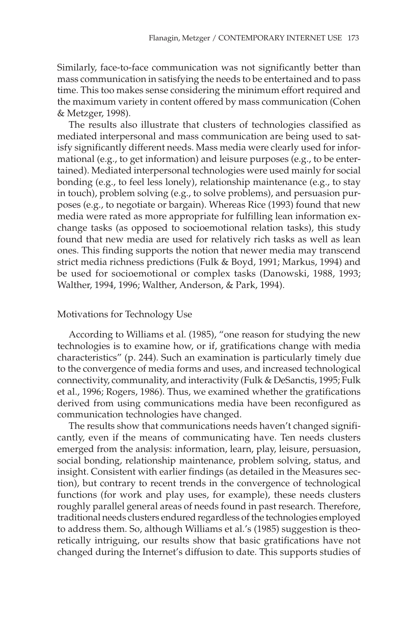Similarly, face-to-face communication was not significantly better than mass communication in satisfying the needs to be entertained and to pass time. This too makes sense considering the minimum effort required and the maximum variety in content offered by mass communication (Cohen & Metzger, 1998).

The results also illustrate that clusters of technologies classified as mediated interpersonal and mass communication are being used to satisfy significantly different needs. Mass media were clearly used for informational (e.g., to get information) and leisure purposes (e.g., to be entertained). Mediated interpersonal technologies were used mainly for social bonding (e.g., to feel less lonely), relationship maintenance (e.g., to stay in touch), problem solving (e.g., to solve problems), and persuasion purposes (e.g., to negotiate or bargain). Whereas Rice (1993) found that new media were rated as more appropriate for fulfilling lean information exchange tasks (as opposed to socioemotional relation tasks), this study found that new media are used for relatively rich tasks as well as lean ones. This finding supports the notion that newer media may transcend strict media richness predictions (Fulk & Boyd, 1991; Markus, 1994) and be used for socioemotional or complex tasks (Danowski, 1988, 1993; Walther, 1994, 1996; Walther, Anderson, & Park, 1994).

# Motivations for Technology Use

According to Williams et al. (1985), "one reason for studying the new technologies is to examine how, or if, gratifications change with media characteristics" (p. 244). Such an examination is particularly timely due to the convergence of media forms and uses, and increased technological connectivity, communality, and interactivity (Fulk & DeSanctis, 1995; Fulk et al., 1996; Rogers, 1986). Thus, we examined whether the gratifications derived from using communications media have been reconfigured as communication technologies have changed.

The results show that communications needs haven't changed significantly, even if the means of communicating have. Ten needs clusters emerged from the analysis: information, learn, play, leisure, persuasion, social bonding, relationship maintenance, problem solving, status, and insight. Consistent with earlier findings (as detailed in the Measures section), but contrary to recent trends in the convergence of technological functions (for work and play uses, for example), these needs clusters roughly parallel general areas of needs found in past research. Therefore, traditional needs clusters endured regardless of the technologies employed to address them. So, although Williams et al.'s (1985) suggestion is theoretically intriguing, our results show that basic gratifications have not changed during the Internet's diffusion to date. This supports studies of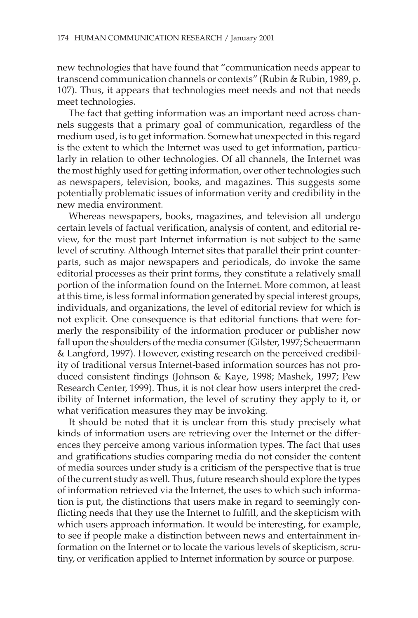new technologies that have found that "communication needs appear to transcend communication channels or contexts" (Rubin & Rubin, 1989, p. 107). Thus, it appears that technologies meet needs and not that needs meet technologies.

The fact that getting information was an important need across channels suggests that a primary goal of communication, regardless of the medium used, is to get information. Somewhat unexpected in this regard is the extent to which the Internet was used to get information, particularly in relation to other technologies. Of all channels, the Internet was the most highly used for getting information, over other technologies such as newspapers, television, books, and magazines. This suggests some potentially problematic issues of information verity and credibility in the new media environment.

Whereas newspapers, books, magazines, and television all undergo certain levels of factual verification, analysis of content, and editorial review, for the most part Internet information is not subject to the same level of scrutiny. Although Internet sites that parallel their print counterparts, such as major newspapers and periodicals, do invoke the same editorial processes as their print forms, they constitute a relatively small portion of the information found on the Internet. More common, at least at this time, is less formal information generated by special interest groups, individuals, and organizations, the level of editorial review for which is not explicit. One consequence is that editorial functions that were formerly the responsibility of the information producer or publisher now fall upon the shoulders of the media consumer (Gilster, 1997; Scheuermann & Langford, 1997). However, existing research on the perceived credibility of traditional versus Internet-based information sources has not produced consistent findings (Johnson & Kaye, 1998; Mashek, 1997; Pew Research Center, 1999). Thus, it is not clear how users interpret the credibility of Internet information, the level of scrutiny they apply to it, or what verification measures they may be invoking.

It should be noted that it is unclear from this study precisely what kinds of information users are retrieving over the Internet or the differences they perceive among various information types. The fact that uses and gratifications studies comparing media do not consider the content of media sources under study is a criticism of the perspective that is true of the current study as well. Thus, future research should explore the types of information retrieved via the Internet, the uses to which such information is put, the distinctions that users make in regard to seemingly conflicting needs that they use the Internet to fulfill, and the skepticism with which users approach information. It would be interesting, for example, to see if people make a distinction between news and entertainment information on the Internet or to locate the various levels of skepticism, scrutiny, or verification applied to Internet information by source or purpose.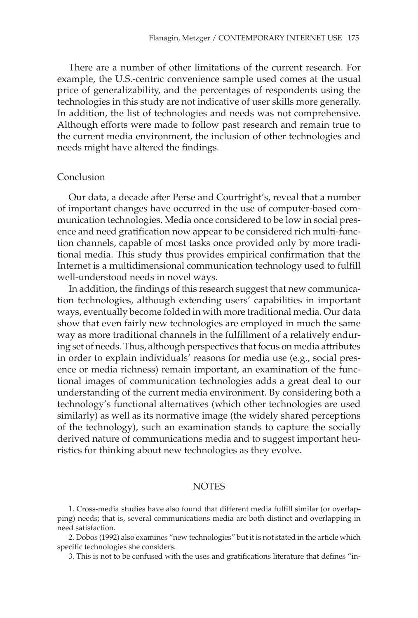There are a number of other limitations of the current research. For example, the U.S.-centric convenience sample used comes at the usual price of generalizability, and the percentages of respondents using the technologies in this study are not indicative of user skills more generally. In addition, the list of technologies and needs was not comprehensive. Although efforts were made to follow past research and remain true to the current media environment, the inclusion of other technologies and needs might have altered the findings.

#### Conclusion

Our data, a decade after Perse and Courtright's, reveal that a number of important changes have occurred in the use of computer-based communication technologies. Media once considered to be low in social presence and need gratification now appear to be considered rich multi-function channels, capable of most tasks once provided only by more traditional media. This study thus provides empirical confirmation that the Internet is a multidimensional communication technology used to fulfill well-understood needs in novel ways.

In addition, the findings of this research suggest that new communication technologies, although extending users' capabilities in important ways, eventually become folded in with more traditional media. Our data show that even fairly new technologies are employed in much the same way as more traditional channels in the fulfillment of a relatively enduring set of needs. Thus, although perspectives that focus on media attributes in order to explain individuals' reasons for media use (e.g., social presence or media richness) remain important, an examination of the functional images of communication technologies adds a great deal to our understanding of the current media environment. By considering both a technology's functional alternatives (which other technologies are used similarly) as well as its normative image (the widely shared perceptions of the technology), such an examination stands to capture the socially derived nature of communications media and to suggest important heuristics for thinking about new technologies as they evolve.

#### NOTES

1. Cross-media studies have also found that different media fulfill similar (or overlapping) needs; that is, several communications media are both distinct and overlapping in need satisfaction.

2. Dobos (1992) also examines "new technologies" but it is not stated in the article which specific technologies she considers.

3. This is not to be confused with the uses and gratifications literature that defines "in-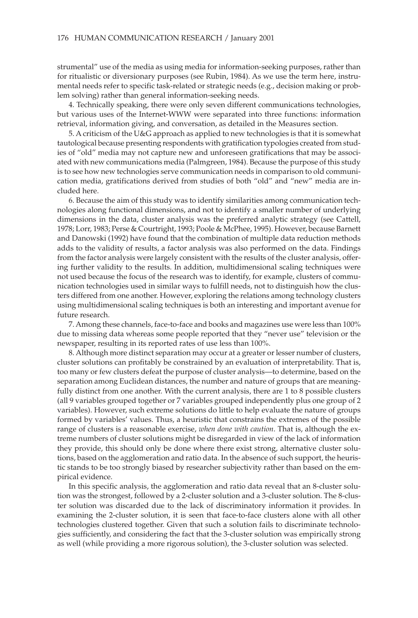strumental" use of the media as using media for information-seeking purposes, rather than for ritualistic or diversionary purposes (see Rubin, 1984). As we use the term here, instrumental needs refer to specific task-related or strategic needs (e.g., decision making or problem solving) rather than general information-seeking needs.

4. Technically speaking, there were only seven different communications technologies, but various uses of the Internet-WWW were separated into three functions: information retrieval, information giving, and conversation, as detailed in the Measures section.

5. A criticism of the U&G approach as applied to new technologies is that it is somewhat tautological because presenting respondents with gratification typologies created from studies of "old" media may not capture new and unforeseen gratifications that may be associated with new communications media (Palmgreen, 1984). Because the purpose of this study is to see how new technologies serve communication needs in comparison to old communication media, gratifications derived from studies of both "old" and "new" media are included here.

6. Because the aim of this study was to identify similarities among communication technologies along functional dimensions, and not to identify a smaller number of underlying dimensions in the data, cluster analysis was the preferred analytic strategy (see Cattell, 1978; Lorr, 1983; Perse & Courtright, 1993; Poole & McPhee, 1995). However, because Barnett and Danowski (1992) have found that the combination of multiple data reduction methods adds to the validity of results, a factor analysis was also performed on the data. Findings from the factor analysis were largely consistent with the results of the cluster analysis, offering further validity to the results. In addition, multidimensional scaling techniques were not used because the focus of the research was to identify, for example, clusters of communication technologies used in similar ways to fulfill needs, not to distinguish how the clusters differed from one another. However, exploring the relations among technology clusters using multidimensional scaling techniques is both an interesting and important avenue for future research.

7. Among these channels, face-to-face and books and magazines use were less than 100% due to missing data whereas some people reported that they "never use" television or the newspaper, resulting in its reported rates of use less than 100%.

8. Although more distinct separation may occur at a greater or lesser number of clusters, cluster solutions can profitably be constrained by an evaluation of interpretability. That is, too many or few clusters defeat the purpose of cluster analysis—to determine, based on the separation among Euclidean distances, the number and nature of groups that are meaningfully distinct from one another. With the current analysis, there are 1 to 8 possible clusters (all 9 variables grouped together or 7 variables grouped independently plus one group of 2 variables). However, such extreme solutions do little to help evaluate the nature of groups formed by variables' values. Thus, a heuristic that constrains the extremes of the possible range of clusters is a reasonable exercise, *when done with caution*. That is, although the extreme numbers of cluster solutions might be disregarded in view of the lack of information they provide, this should only be done where there exist strong, alternative cluster solutions, based on the agglomeration and ratio data. In the absence of such support, the heuristic stands to be too strongly biased by researcher subjectivity rather than based on the empirical evidence.

In this specific analysis, the agglomeration and ratio data reveal that an 8-cluster solution was the strongest, followed by a 2-cluster solution and a 3-cluster solution. The 8-cluster solution was discarded due to the lack of discriminatory information it provides. In examining the 2-cluster solution, it is seen that face-to-face clusters alone with all other technologies clustered together. Given that such a solution fails to discriminate technologies sufficiently, and considering the fact that the 3-cluster solution was empirically strong as well (while providing a more rigorous solution), the 3-cluster solution was selected.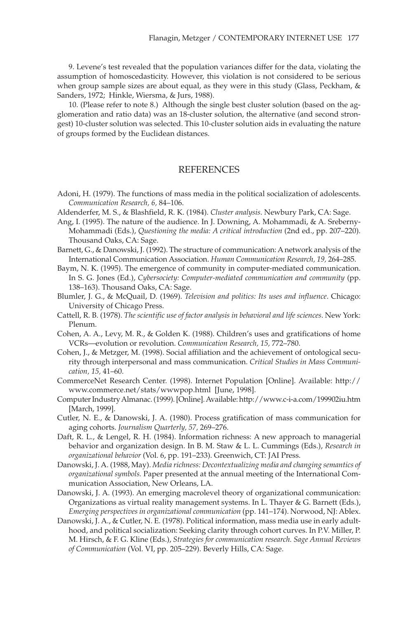9. Levene's test revealed that the population variances differ for the data, violating the assumption of homoscedasticity. However, this violation is not considered to be serious when group sample sizes are about equal, as they were in this study (Glass, Peckham, & Sanders, 1972; Hinkle, Wiersma, & Jurs, 1988).

10. (Please refer to note 8.) Although the single best cluster solution (based on the agglomeration and ratio data) was an 18-cluster solution, the alternative (and second strongest) 10-cluster solution was selected. This 10-cluster solution aids in evaluating the nature of groups formed by the Euclidean distances.

#### REFERENCES

- Adoni, H. (1979). The functions of mass media in the political socialization of adolescents. *Communication Research, 6,* 84–106.
- Aldenderfer, M. S., & Blashfield, R. K. (1984). *Cluster analysis*. Newbury Park, CA: Sage.
- Ang, I. (1995). The nature of the audience. In J. Downing, A. Mohammadi, & A. Sreberny-Mohammadi (Eds.), *Questioning the media: A critical introduction* (2nd ed., pp. 207–220). Thousand Oaks, CA: Sage.
- Barnett, G., & Danowski, J. (1992). The structure of communication: A network analysis of the International Communication Association. *Human Communication Research, 19,* 264–285.
- Baym, N. K. (1995). The emergence of community in computer-mediated communication. In S. G. Jones (Ed.), *Cybersociety: Computer-mediated communication and community* (pp. 138–163). Thousand Oaks, CA: Sage.
- Blumler, J. G., & McQuail, D. (1969). *Television and politics: Its uses and influence*. Chicago: University of Chicago Press.
- Cattell, R. B. (1978). *The scientific use of factor analysis in behavioral and life sciences*. New York: Plenum.
- Cohen, A. A., Levy, M. R., & Golden K. (1988). Children's uses and gratifications of home VCRs—evolution or revolution. *Communication Research, 15,* 772–780.
- Cohen, J., & Metzger, M. (1998). Social affiliation and the achievement of ontological security through interpersonal and mass communication. *Critical Studies in Mass Communication, 15,* 41–60.
- CommerceNet Research Center. (1998). Internet Population [Online]. Available: <http://> www.commerce.net/stats/wwwpop.html [June, 1998].
- Computer Industry Almanac. (1999). [Online]. Available:<http://www.c-i-a.com/199902iu.htm> [March, 1999].
- Cutler, N. E., & Danowski, J. A. (1980). Process gratification of mass communication for aging cohorts. *Journalism Quarterly, 57,* 269–276.
- Daft, R. L., & Lengel, R. H. (1984). Information richness: A new approach to managerial behavior and organization design. In B. M. Staw & L. L. Cummings (Eds.), *Research in organizational behavior* (Vol. 6, pp. 191–233). Greenwich, CT: JAI Press.
- Danowski, J. A. (1988, May). *Media richness: Decontextualizing media and changing semantics of organizational symbols.* Paper presented at the annual meeting of the International Communication Association, New Orleans, LA.
- Danowski, J. A. (1993). An emerging macrolevel theory of organizational communication: Organizations as virtual reality management systems. In L. Thayer & G. Barnett (Eds.), *Emerging perspectives in organizational communication* (pp. 141–174). Norwood, NJ: Ablex.
- Danowski, J. A., & Cutler, N. E. (1978). Political information, mass media use in early adulthood, and political socialization: Seeking clarity through cohort curves. In P.V. Miller, P. M. Hirsch, & F. G. Kline (Eds.), *Strategies for communication research. Sage Annual Reviews of Communication* (Vol. VI, pp. 205–229). Beverly Hills, CA: Sage.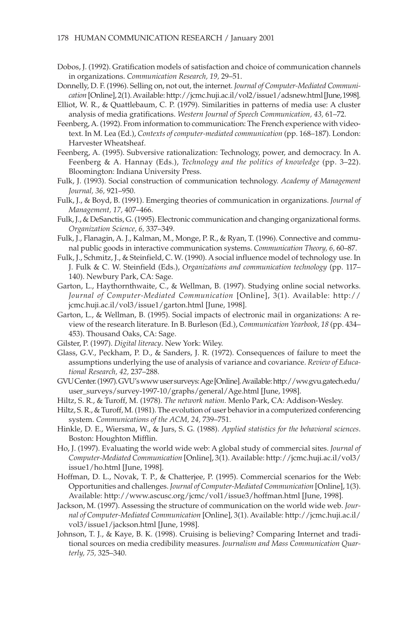- Dobos, J. (1992). Gratification models of satisfaction and choice of communication channels in organizations. *Communication Research, 19,* 29–51.
- Donnelly, D. F. (1996). Selling on, not out, the internet. *Journal of Computer-Mediated Communication* [Online], 2(1). Available:<http://jcmc.huji.ac.il/vol2/issue1/adsnew.html> [June, 1998].
- Elliot, W. R., & Quattlebaum, C. P. (1979). Similarities in patterns of media use: A cluster analysis of media gratifications. *Western Journal of Speech Communication, 43,* 61–72.
- Feenberg, A. (1992). From information to communication: The French experience with videotext. In M. Lea (Ed.), *Contexts of computer-mediated communication* (pp. 168–187). London: Harvester Wheatsheaf.
- Feenberg, A. (1995). Subversive rationalization: Technology, power, and democracy. In A. Feenberg & A. Hannay (Eds.), *Technology and the politics of knowledge* (pp. 3–22). Bloomington: Indiana University Press.
- Fulk, J. (1993). Social construction of communication technology. *Academy of Management Journal, 36,* 921–950.
- Fulk, J., & Boyd, B. (1991). Emerging theories of communication in organizations. *Journal of Management, 17,* 407–466.
- Fulk, J., & DeSanctis, G. (1995). Electronic communication and changing organizational forms. *Organization Science, 6,* 337–349.
- Fulk, J., Flanagin, A. J., Kalman, M., Monge, P. R., & Ryan, T. (1996). Connective and communal public goods in interactive communication systems. *Communication Theory, 6,* 60–87.
- Fulk, J., Schmitz, J., & Steinfield, C. W. (1990). A social influence model of technology use. In J. Fulk & C. W. Steinfield (Eds.), *Organizations and communication technology* (pp. 117– 140). Newbury Park, CA: Sage.
- Garton, L., Haythornthwaite, C., & Wellman, B. (1997). Studying online social networks. *Journal of Computer-Mediated Communication* [Online], 3(1). Available: <http://> jcmc.huji.ac.il/vol3/issue1/garton.html [June, 1998].
- Garton, L., & Wellman, B. (1995). Social impacts of electronic mail in organizations: A review of the research literature. In B. Burleson (Ed.), *Communication Yearbook, 18* (pp. 434– 453). Thousand Oaks, CA: Sage.
- Gilster, P. (1997). *Digital literacy*. New York: Wiley.
- Glass, G.V., Peckham, P. D., & Sanders, J. R. (1972). Consequences of failure to meet the assumptions underlying the use of analysis of variance and covariance. *Review of Educational Research, 42,* 237–288.
- GVU Center. (1997). GVU's www user surveys: Age [Online]. Available:<http://ww.gvu.gatech.edu/> user\_surveys/survey-1997-10/graphs/general/Age.html [June, 1998].
- Hiltz, S. R., & Turoff, M. (1978). *The network nation*. Menlo Park, CA: Addison-Wesley.
- Hiltz, S. R., & Turoff, M. (1981). The evolution of user behavior in a computerized conferencing system. *Communications of the ACM, 24,* 739–751.
- Hinkle, D. E., Wiersma, W., & Jurs, S. G. (1988). *Applied statistics for the behavioral sciences*. Boston: Houghton Mifflin.
- Ho, J. (1997). Evaluating the world wide web: A global study of commercial sites. *Journal of Computer-Mediated Communication* [Online], 3(1). Available:<http://jcmc.huji.ac.il/vol3/> issue1/ho.html [June, 1998].
- Hoffman, D. L., Novak, T. P., & Chatterjee, P. (1995). Commercial scenarios for the Web: Opportunities and challenges. *Journal of Computer-Mediated Communication* [Online], 1(3). Available:<http://www.ascusc.org/jcmc/vol1/issue3/hoffman.html> [June, 1998].
- Jackson, M. (1997). Assessing the structure of communication on the world wide web. *Journal of Computer-Mediated Communication* [Online], 3(1). Available:<http://jcmc.huji.ac.il/> vol3/issue1/jackson.html [June, 1998].
- Johnson, T. J., & Kaye, B. K. (1998). Cruising is believing? Comparing Internet and traditional sources on media credibility measures. *Journalism and Mass Communication Quarterly, 75,* 325–340.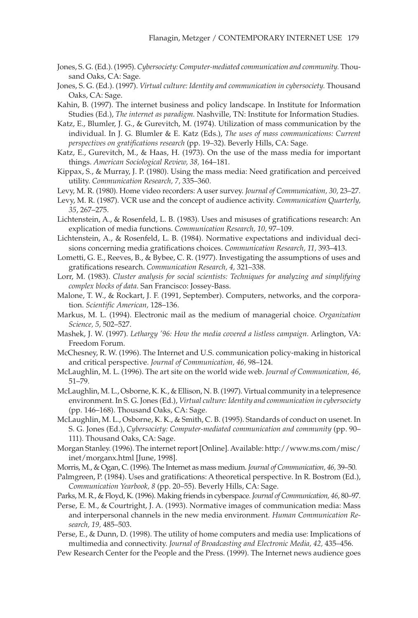- Jones, S. G. (Ed.). (1995). *Cybersociety: Computer-mediated communication and community.* Thousand Oaks, CA: Sage.
- Jones, S. G. (Ed.). (1997). *Virtual culture: Identity and communication in cybersociety.* Thousand Oaks, CA: Sage.
- Kahin, B. (1997). The internet business and policy landscape. In Institute for Information Studies (Ed.), *The internet as paradigm.* Nashville, TN: Institute for Information Studies.
- Katz, E., Blumler, J. G., & Gurevitch, M. (1974). Utilization of mass communication by the individual. In J. G. Blumler & E. Katz (Eds.), *The uses of mass communications: Current perspectives on gratifications research* (pp. 19–32). Beverly Hills, CA: Sage.
- Katz, E., Gurevitch, M., & Haas, H. (1973). On the use of the mass media for important things. *American Sociological Review, 38,* 164–181.
- Kippax, S., & Murray, J. P. (1980). Using the mass media: Need gratification and perceived utility. *Communication Research, 7,* 335–360.
- Levy, M. R. (1980). Home video recorders: A user survey. *Journal of Communication, 30,* 23–27.
- Levy, M. R. (1987). VCR use and the concept of audience activity. *Communication Quarterly, 35*, 267–275.
- Lichtenstein, A., & Rosenfeld, L. B. (1983). Uses and misuses of gratifications research: An explication of media functions. *Communication Research, 10,* 97–109.
- Lichtenstein, A., & Rosenfeld, L. B. (1984). Normative expectations and individual decisions concerning media gratifications choices. *Communication Research, 11,* 393–413.
- Lometti, G. E., Reeves, B., & Bybee, C. R. (1977). Investigating the assumptions of uses and gratifications research. *Communication Research, 4,* 321–338.
- Lorr, M. (1983). *Cluster analysis for social scientists: Techniques for analyzing and simplifying complex blocks of data*. San Francisco: Jossey-Bass.
- Malone, T. W., & Rockart, J. F. (1991, September). Computers, networks, and the corporation. *Scientific American,* 128–136.
- Markus, M. L. (1994). Electronic mail as the medium of managerial choice. *Organization Science, 5,* 502–527.
- Mashek, J. W. (1997). *Lethargy '96: How the media covered a listless campaign.* Arlington, VA: Freedom Forum.
- McChesney, R. W. (1996). The Internet and U.S. communication policy-making in historical and critical perspective. *Journal of Communication, 46,* 98–124.
- McLaughlin, M. L. (1996). The art site on the world wide web. *Journal of Communication, 46,* 51–79.
- McLaughlin, M. L., Osborne, K. K., & Ellison, N. B. (1997). Virtual community in a telepresence environment. In S. G. Jones (Ed.), *Virtual culture: Identity and communication in cybersociety* (pp. 146–168). Thousand Oaks, CA: Sage.
- McLaughlin, M. L., Osborne, K. K., & Smith, C. B. (1995). Standards of conduct on usenet. In S. G. Jones (Ed.), *Cybersociety: Computer-mediated communication and community* (pp. 90– 111). Thousand Oaks, CA: Sage.
- Morgan Stanley. (1996). The internet report [Online]. Available:<http://www.ms.com/misc/> inet/morganx.html [June, 1998].
- Morris, M., & Ogan, C. (1996). The Internet as mass medium. *Journal of Communication, 46,* 39–50.
- Palmgreen, P. (1984). Uses and gratifications: A theoretical perspective. In R. Bostrom (Ed.), *Communication Yearbook, 8* (pp. 20–55). Beverly Hills, CA: Sage.
- Parks, M. R., & Floyd, K. (1996). Making friends in cyberspace. *Journal of Communication, 46,* 80–97.
- Perse, E. M., & Courtright, J. A. (1993). Normative images of communication media: Mass and interpersonal channels in the new media environment. *Human Communication Research, 19,* 485–503.
- Perse, E., & Dunn, D. (1998). The utility of home computers and media use: Implications of multimedia and connectivity. *Journal of Broadcasting and Electronic Media, 42,* 435–456.
- Pew Research Center for the People and the Press. (1999). The Internet news audience goes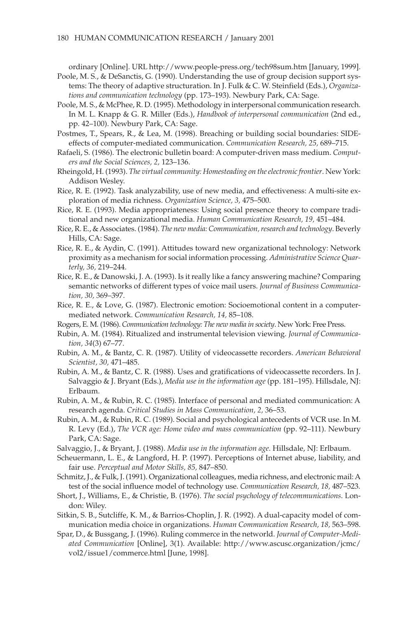ordinary [Online]. URL<http://www.people-press.org/tech98sum.htm>[January, 1999].

- Poole, M. S., & DeSanctis, G. (1990). Understanding the use of group decision support systems: The theory of adaptive structuration. In J. Fulk & C. W. Steinfield (Eds.), *Organizations and communication technology* (pp. 173–193). Newbury Park, CA: Sage.
- Poole, M. S., & McPhee, R. D. (1995). Methodology in interpersonal communication research. In M. L. Knapp & G. R. Miller (Eds.), *Handbook of interpersonal communication* (2nd ed., pp. 42–100). Newbury Park, CA: Sage.
- Postmes, T., Spears, R., & Lea, M. (1998). Breaching or building social boundaries: SIDEeffects of computer-mediated communication. *Communication Research, 25,* 689–715.
- Rafaeli, S. (1986). The electronic bulletin board: A computer-driven mass medium. *Computers and the Social Sciences, 2,* 123–136.
- Rheingold, H. (1993). *The virtual community: Homesteading on the electronic frontier*. New York: Addison Wesley.
- Rice, R. E. (1992). Task analyzability, use of new media, and effectiveness: A multi-site exploration of media richness. *Organization Science, 3,* 475–500.
- Rice, R. E. (1993). Media appropriateness: Using social presence theory to compare traditional and new organizational media. *Human Communication Research, 19,* 451–484.
- Rice, R. E., & Associates. (1984). *The new media: Communication, research and technology*. Beverly Hills, CA: Sage.
- Rice, R. E., & Aydin, C. (1991). Attitudes toward new organizational technology: Network proximity as a mechanism for social information processing. *Administrative Science Quarterly, 36,* 219–244.
- Rice, R. E., & Danowski, J. A. (1993). Is it really like a fancy answering machine? Comparing semantic networks of different types of voice mail users. *Journal of Business Communication, 30,* 369–397.
- Rice, R. E., & Love, G. (1987). Electronic emotion: Socioemotional content in a computermediated network. *Communication Research, 14,* 85–108.
- Rogers, E. M. (1986). *Communication technology: The new media in society*. New York: Free Press.
- Rubin, A. M. (1984). Ritualized and instrumental television viewing. *Journal of Communication, 34*(3) 67–77.
- Rubin, A. M., & Bantz, C. R. (1987). Utility of videocassette recorders. *American Behavioral Scientist, 30,* 471–485.
- Rubin, A. M., & Bantz, C. R. (1988). Uses and gratifications of videocassette recorders. In J. Salvaggio & J. Bryant (Eds.), *Media use in the information age* (pp. 181–195). Hillsdale, NJ: Erlbaum.
- Rubin, A. M., & Rubin, R. C. (1985). Interface of personal and mediated communication: A research agenda. *Critical Studies in Mass Communication, 2,* 36–53.
- Rubin, A. M., & Rubin, R. C. (1989). Social and psychological antecedents of VCR use. In M. R. Levy (Ed.), *The VCR age: Home video and mass communication* (pp. 92–111). Newbury Park, CA: Sage.
- Salvaggio, J., & Bryant, J. (1988). *Media use in the information age*. Hillsdale, NJ: Erlbaum.
- Scheuermann, L. E., & Langford, H. P. (1997). Perceptions of Internet abuse, liability, and fair use. *Perceptual and Motor Skills, 85,* 847–850.
- Schmitz, J., & Fulk, J. (1991). Organizational colleagues, media richness, and electronic mail: A test of the social influence model of technology use. *Communication Research, 18,* 487–523.
- Short, J., Williams, E., & Christie, B. (1976). *The social psychology of telecommunications*. London: Wiley.
- Sitkin, S. B., Sutcliffe, K. M., & Barrios-Choplin, J. R. (1992). A dual-capacity model of communication media choice in organizations. *Human Communication Research, 18,* 563–598.
- Spar, D., & Bussgang, J. (1996). Ruling commerce in the networld. *Journal of Computer-Mediated Communication* [Online], 3(1). Available: <http://www.ascusc.organization/jcmc/> vol2/issue1/commerce.html [June, 1998].